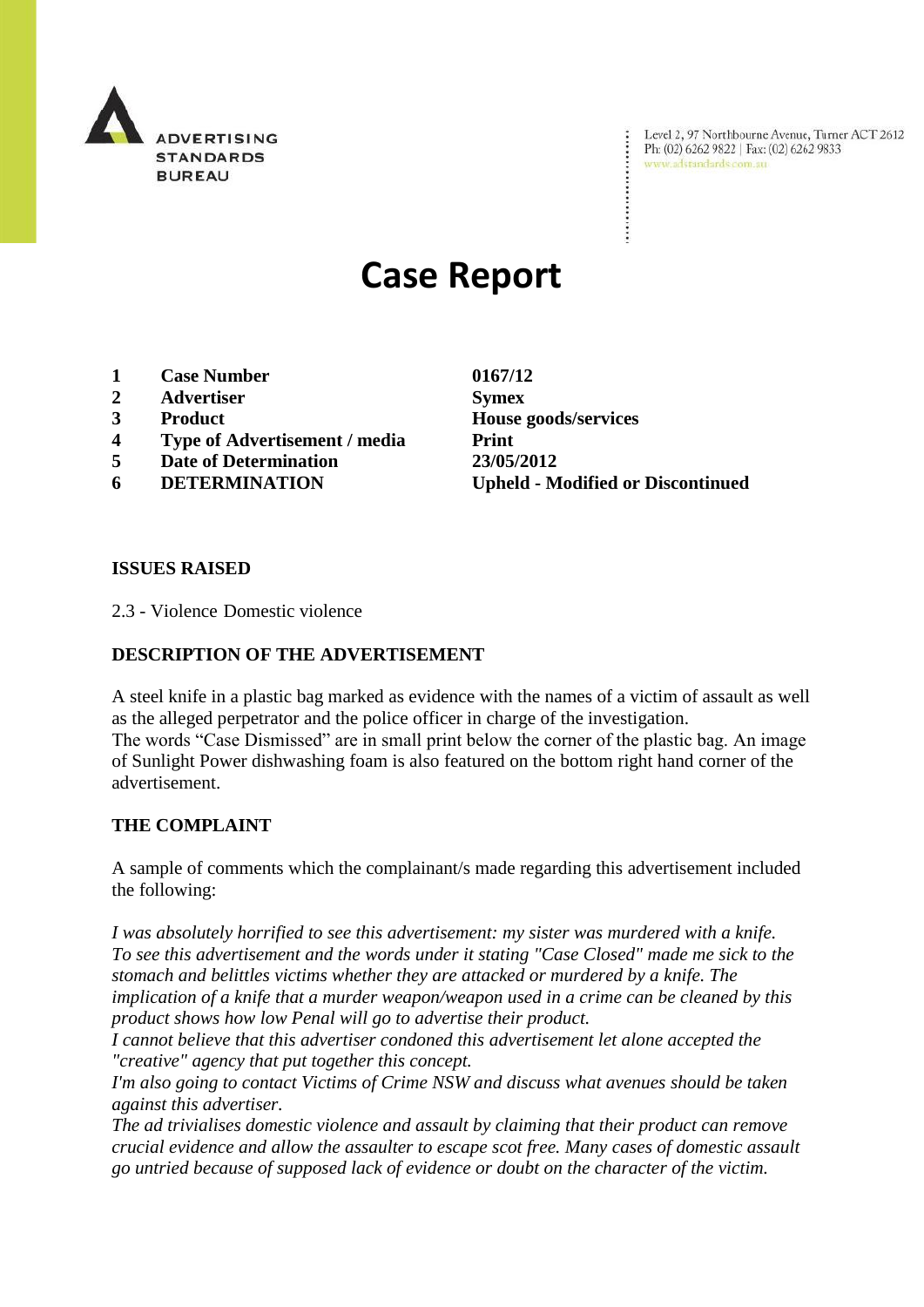

Level 2, 97 Northbourne Avenue, Turner ACT 2612 Ph: (02) 6262 9822 | Fax: (02) 6262 9833 www.adstandards.com.au

# **Case Report**

- **1 Case Number 0167/12**
- **2 Advertiser Symex**
- 
- **4 Type of Advertisement / media Print**
- **5 Date of Determination 23/05/2012**
- 

**3 Product House goods/services 6 DETERMINATION Upheld - Modified or Discontinued**

### **ISSUES RAISED**

2.3 - Violence Domestic violence

## **DESCRIPTION OF THE ADVERTISEMENT**

A steel knife in a plastic bag marked as evidence with the names of a victim of assault as well as the alleged perpetrator and the police officer in charge of the investigation. The words "Case Dismissed" are in small print below the corner of the plastic bag. An image of Sunlight Power dishwashing foam is also featured on the bottom right hand corner of the advertisement.

#### **THE COMPLAINT**

A sample of comments which the complainant/s made regarding this advertisement included the following:

*I was absolutely horrified to see this advertisement: my sister was murdered with a knife. To see this advertisement and the words under it stating "Case Closed" made me sick to the stomach and belittles victims whether they are attacked or murdered by a knife. The implication of a knife that a murder weapon/weapon used in a crime can be cleaned by this product shows how low Penal will go to advertise their product.* 

*I cannot believe that this advertiser condoned this advertisement let alone accepted the "creative" agency that put together this concept.* 

*I'm also going to contact Victims of Crime NSW and discuss what avenues should be taken against this advertiser.*

*The ad trivialises domestic violence and assault by claiming that their product can remove crucial evidence and allow the assaulter to escape scot free. Many cases of domestic assault go untried because of supposed lack of evidence or doubt on the character of the victim.*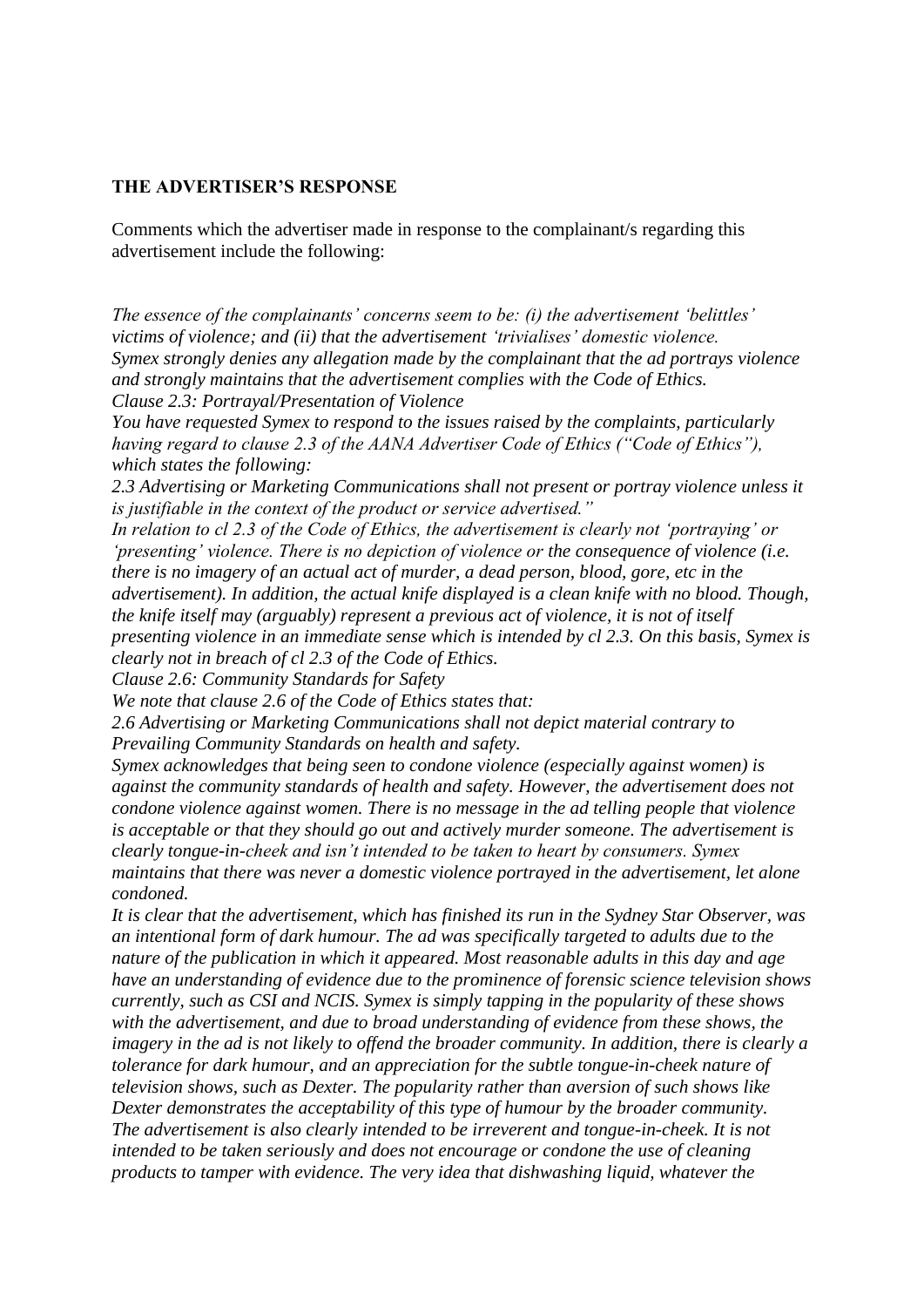#### **THE ADVERTISER'S RESPONSE**

Comments which the advertiser made in response to the complainant/s regarding this advertisement include the following:

*The essence of the complainants" concerns seem to be: (i) the advertisement "belittles" victims of violence; and (ii) that the advertisement "trivialises" domestic violence. Symex strongly denies any allegation made by the complainant that the ad portrays violence and strongly maintains that the advertisement complies with the Code of Ethics. Clause 2.3: Portrayal/Presentation of Violence*

*You have requested Symex to respond to the issues raised by the complaints, particularly having regard to clause 2.3 of the AANA Advertiser Code of Ethics ("Code of Ethics"), which states the following:*

*2.3 Advertising or Marketing Communications shall not present or portray violence unless it is justifiable in the context of the product or service advertised."*

*In relation to cl 2.3 of the Code of Ethics, the advertisement is clearly not "portraying" or "presenting" violence. There is no depiction of violence or the consequence of violence (i.e. there is no imagery of an actual act of murder, a dead person, blood, gore, etc in the advertisement). In addition, the actual knife displayed is a clean knife with no blood. Though, the knife itself may (arguably) represent a previous act of violence, it is not of itself presenting violence in an immediate sense which is intended by cl 2.3. On this basis, Symex is clearly not in breach of cl 2.3 of the Code of Ethics.* 

*Clause 2.6: Community Standards for Safety*

*We note that clause 2.6 of the Code of Ethics states that:*

*2.6 Advertising or Marketing Communications shall not depict material contrary to Prevailing Community Standards on health and safety.*

*Symex acknowledges that being seen to condone violence (especially against women) is against the community standards of health and safety. However, the advertisement does not condone violence against women. There is no message in the ad telling people that violence is acceptable or that they should go out and actively murder someone. The advertisement is clearly tongue-in-cheek and isn"t intended to be taken to heart by consumers. Symex maintains that there was never a domestic violence portrayed in the advertisement, let alone condoned.*

*It is clear that the advertisement, which has finished its run in the Sydney Star Observer, was an intentional form of dark humour. The ad was specifically targeted to adults due to the nature of the publication in which it appeared. Most reasonable adults in this day and age have an understanding of evidence due to the prominence of forensic science television shows currently, such as CSI and NCIS. Symex is simply tapping in the popularity of these shows with the advertisement, and due to broad understanding of evidence from these shows, the imagery in the ad is not likely to offend the broader community. In addition, there is clearly a tolerance for dark humour, and an appreciation for the subtle tongue-in-cheek nature of television shows, such as Dexter. The popularity rather than aversion of such shows like Dexter demonstrates the acceptability of this type of humour by the broader community. The advertisement is also clearly intended to be irreverent and tongue-in-cheek. It is not intended to be taken seriously and does not encourage or condone the use of cleaning products to tamper with evidence. The very idea that dishwashing liquid, whatever the*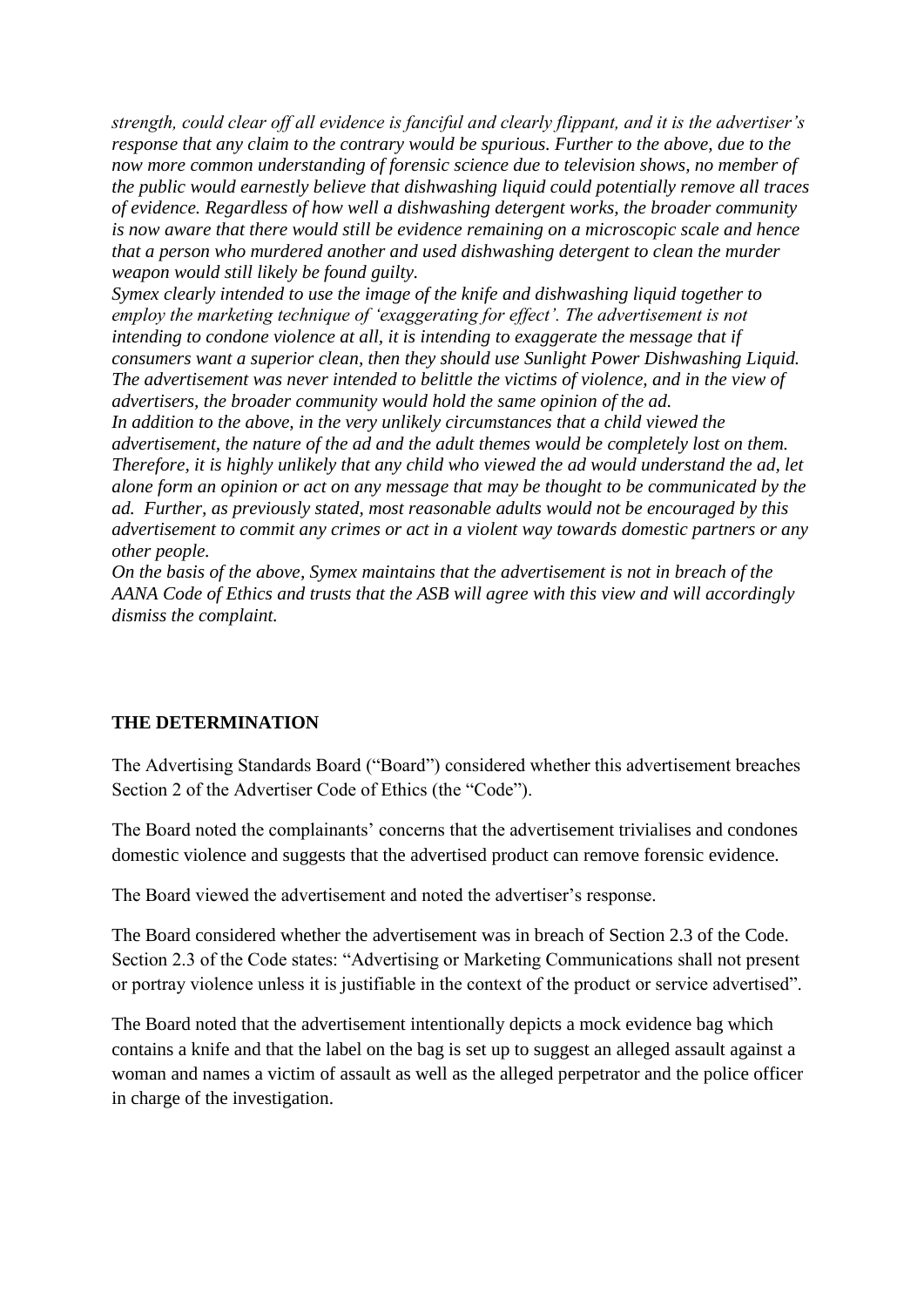*strength, could clear off all evidence is fanciful and clearly flippant, and it is the advertiser"s response that any claim to the contrary would be spurious. Further to the above, due to the now more common understanding of forensic science due to television shows, no member of the public would earnestly believe that dishwashing liquid could potentially remove all traces of evidence. Regardless of how well a dishwashing detergent works, the broader community is now aware that there would still be evidence remaining on a microscopic scale and hence that a person who murdered another and used dishwashing detergent to clean the murder weapon would still likely be found guilty.* 

*Symex clearly intended to use the image of the knife and dishwashing liquid together to employ the marketing technique of "exaggerating for effect". The advertisement is not intending to condone violence at all, it is intending to exaggerate the message that if consumers want a superior clean, then they should use Sunlight Power Dishwashing Liquid. The advertisement was never intended to belittle the victims of violence, and in the view of advertisers, the broader community would hold the same opinion of the ad.*  In addition to the above, in the very unlikely circumstances that a child viewed the *advertisement, the nature of the ad and the adult themes would be completely lost on them. Therefore, it is highly unlikely that any child who viewed the ad would understand the ad, let alone form an opinion or act on any message that may be thought to be communicated by the ad. Further, as previously stated, most reasonable adults would not be encouraged by this advertisement to commit any crimes or act in a violent way towards domestic partners or any other people.*

*On the basis of the above, Symex maintains that the advertisement is not in breach of the AANA Code of Ethics and trusts that the ASB will agree with this view and will accordingly dismiss the complaint.* 

#### **THE DETERMINATION**

The Advertising Standards Board ("Board") considered whether this advertisement breaches Section 2 of the Advertiser Code of Ethics (the "Code").

The Board noted the complainants' concerns that the advertisement trivialises and condones domestic violence and suggests that the advertised product can remove forensic evidence.

The Board viewed the advertisement and noted the advertiser"s response.

The Board considered whether the advertisement was in breach of Section 2.3 of the Code. Section 2.3 of the Code states: "Advertising or Marketing Communications shall not present or portray violence unless it is justifiable in the context of the product or service advertised".

The Board noted that the advertisement intentionally depicts a mock evidence bag which contains a knife and that the label on the bag is set up to suggest an alleged assault against a woman and names a victim of assault as well as the alleged perpetrator and the police officer in charge of the investigation.